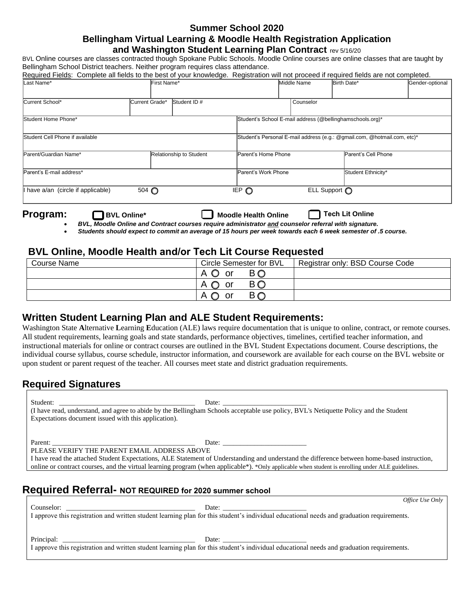#### **Summer School 2020 Bellingham Virtual Learning & Moodle Health Registration Application**

#### **and Washington Student Learning Plan Contract** rev 5/16/20

BVL Online courses are classes contracted though Spokane Public Schools. Moodle Online courses are online classes that are taught by Bellingham School District teachers. Neither program requires class attendance.

| Required Fields: Complete all fields to the best of your knowledge. Registration will not proceed if required fields are not completed. |                  |                    |                            |             |           |                                                                          |                 |
|-----------------------------------------------------------------------------------------------------------------------------------------|------------------|--------------------|----------------------------|-------------|-----------|--------------------------------------------------------------------------|-----------------|
| Last Name*<br>First Name*                                                                                                               |                  |                    |                            | Middle Name |           | Birth Date*                                                              | Gender-optional |
| Current School*                                                                                                                         | Current Grade*   | <b>Student ID#</b> |                            |             | Counselor |                                                                          |                 |
| Student Home Phone*                                                                                                                     |                  |                    |                            |             |           | Student's School E-mail address (@bellinghamschools.org)*                |                 |
| Student Cell Phone if available                                                                                                         |                  |                    |                            |             |           | Student's Personal E-mail address (e.g.: @gmail.com, @hotmail.com, etc)* |                 |
| Parent/Guardian Name*<br>Relationship to Student                                                                                        |                  |                    | Parent's Home Phone        |             |           | Parent's Cell Phone                                                      |                 |
| Parent's E-mail address*                                                                                                                |                  |                    | Parent's Work Phone        |             |           | Student Ethnicity*                                                       |                 |
| I have a/an (circle if applicable)                                                                                                      | $504$ $\bigcirc$ |                    | $\overline{EP}$ $\bigcirc$ |             |           | ELL Support ∩                                                            |                 |
|                                                                                                                                         |                  |                    |                            |             |           |                                                                          |                 |

#### **Program:** BVL Online\* Moodle Health Online **Tech Lit Online**

- *BVL, Moodle Online and Contract courses require administrator and counselor referral with signature.*
- *Students should expect to commit an average of 15 hours per week towards each 6 week semester of .5 course.*

### **BVL Online, Moodle Health and/or Tech Lit Course Requested**

| Course Name | Circle Semester for BVL |           | Registrar only: BSD Course Code |
|-------------|-------------------------|-----------|---------------------------------|
|             | $\sqrt{2}$<br>or        | <b>BO</b> |                                 |
|             | $\sim$<br>or            | ВC        |                                 |
|             | A<br>or<br>м.           | ВC        |                                 |

### **Written Student Learning Plan and ALE Student Requirements:**

Washington State **A**lternative **L**earning **E**ducation (ALE) laws require documentation that is unique to online, contract, or remote courses. All student requirements, learning goals and state standards, performance objectives, timelines, certified teacher information, and instructional materials for online or contract courses are outlined in the BVL Student Expectations document. Course descriptions, the individual course syllabus, course schedule, instructor information, and coursework are available for each course on the BVL website or upon student or parent request of the teacher. All courses meet state and district graduation requirements.

### **Required Signatures**

| Expectations document issued with this application). | Date:<br>(I have read, understand, and agree to abide by the Bellingham Schools acceptable use policy, BVL's Netiquette Policy and the Student                                                                                                                                                    |  |
|------------------------------------------------------|---------------------------------------------------------------------------------------------------------------------------------------------------------------------------------------------------------------------------------------------------------------------------------------------------|--|
| PLEASE VERIFY THE PARENT EMAIL ADDRESS ABOVE         | I have read the attached Student Expectations, ALE Statement of Understanding and understand the difference between home-based instruction,<br>online or contract courses, and the virtual learning program (when applicable *). *Only applicable when student is enrolling under ALE guidelines. |  |
|                                                      | Required Referral- NOT REQUIRED for 2020 summer school                                                                                                                                                                                                                                            |  |

*Only* 

|                                                                                                                                                                                                                                |                                                                                                                                                     | Office Use |
|--------------------------------------------------------------------------------------------------------------------------------------------------------------------------------------------------------------------------------|-----------------------------------------------------------------------------------------------------------------------------------------------------|------------|
| Counselor:                                                                                                                                                                                                                     | Date: <u>Date:</u>                                                                                                                                  |            |
|                                                                                                                                                                                                                                | I approve this registration and written student learning plan for this student's individual educational needs and graduation requirements.          |            |
|                                                                                                                                                                                                                                |                                                                                                                                                     |            |
|                                                                                                                                                                                                                                |                                                                                                                                                     |            |
|                                                                                                                                                                                                                                |                                                                                                                                                     |            |
|                                                                                                                                                                                                                                |                                                                                                                                                     |            |
| Principal: The contract of the contract of the contract of the contract of the contract of the contract of the contract of the contract of the contract of the contract of the contract of the contract of the contract of the | Date:<br>I approve this registration and written student learning plan for this student's individual educational needs and graduation requirements. |            |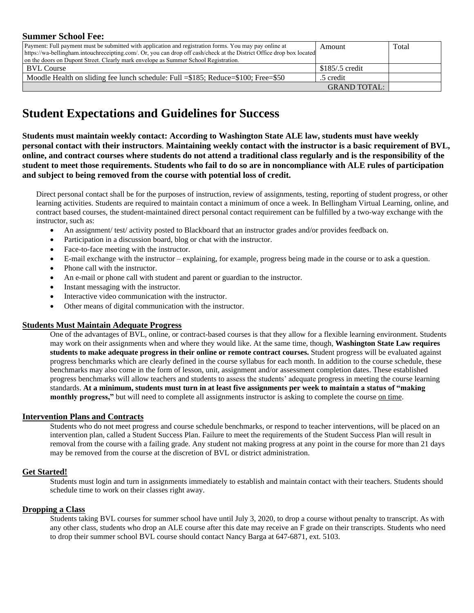#### **Summer School Fee:**

| Payment: Full payment must be submitted with application and registration forms. You may pay online at                | Amount              | Total |
|-----------------------------------------------------------------------------------------------------------------------|---------------------|-------|
| https://wa-bellingham.intouchreceipting.com/. Or, you can drop off cash/check at the District Office drop box located |                     |       |
| on the doors on Dupont Street. Clearly mark envelope as Summer School Registration.                                   |                     |       |
| <b>BVL Course</b>                                                                                                     | $$185/0.5$ credit   |       |
| Moodle Health on sliding fee lunch schedule: Full = \$185; Reduce= \$100; Free= \$50                                  | .5 credit           |       |
|                                                                                                                       | <b>GRAND TOTAL:</b> |       |

## **Student Expectations and Guidelines for Success**

**Students must maintain weekly contact: According to Washington State ALE law, students must have weekly personal contact with their instructors**. **Maintaining weekly contact with the instructor is a basic requirement of BVL, online, and contract courses where students do not attend a traditional class regularly and is the responsibility of the student to meet those requirements. Students who fail to do so are in noncompliance with ALE rules of participation and subject to being removed from the course with potential loss of credit.**

Direct personal contact shall be for the purposes of instruction, review of assignments, testing, reporting of student progress, or other learning activities. Students are required to maintain contact a minimum of once a week. In Bellingham Virtual Learning, online, and contract based courses, the student-maintained direct personal contact requirement can be fulfilled by a two-way exchange with the instructor, such as:

- An assignment/ test/ activity posted to Blackboard that an instructor grades and/or provides feedback on.
- Participation in a discussion board, blog or chat with the instructor.
- Face-to-face meeting with the instructor.
- E-mail exchange with the instructor explaining, for example, progress being made in the course or to ask a question.
- Phone call with the instructor.
- An e-mail or phone call with student and parent or guardian to the instructor.
- Instant messaging with the instructor.
- Interactive video communication with the instructor.
- Other means of digital communication with the instructor.

#### **Students Must Maintain Adequate Progress**

One of the advantages of BVL, online, or contract-based courses is that they allow for a flexible learning environment. Students may work on their assignments when and where they would like. At the same time, though, **Washington State Law requires students to make adequate progress in their online or remote contract courses.** Student progress will be evaluated against progress benchmarks which are clearly defined in the course syllabus for each month. In addition to the course schedule, these benchmarks may also come in the form of lesson, unit, assignment and/or assessment completion dates. These established progress benchmarks will allow teachers and students to assess the students' adequate progress in meeting the course learning standards. **At a minimum, students must turn in at least five assignments per week to maintain a status of "making monthly progress,"** but will need to complete all assignments instructor is asking to complete the course on time.

#### **Intervention Plans and Contracts**

Students who do not meet progress and course schedule benchmarks, or respond to teacher interventions, will be placed on an intervention plan, called a Student Success Plan. Failure to meet the requirements of the Student Success Plan will result in removal from the course with a failing grade. Any student not making progress at any point in the course for more than 21 days may be removed from the course at the discretion of BVL or district administration.

#### **Get Started!**

Students must login and turn in assignments immediately to establish and maintain contact with their teachers. Students should schedule time to work on their classes right away.

#### **Dropping a Class**

Students taking BVL courses for summer school have until July 3, 2020, to drop a course without penalty to transcript. As with any other class, students who drop an ALE course after this date may receive an F grade on their transcripts. Students who need to drop their summer school BVL course should contact Nancy Barga at 647-6871, ext. 5103.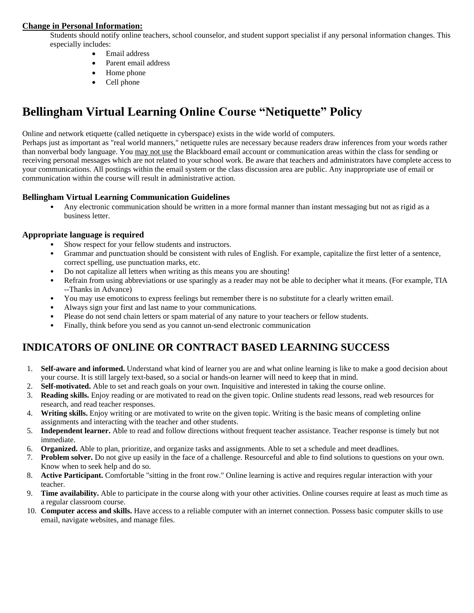#### **Change in Personal Information:**

Students should notify online teachers, school counselor, and student support specialist if any personal information changes. This especially includes:

- Email address
- Parent email address
- Home phone
- Cell phone

# **Bellingham Virtual Learning Online Course "Netiquette" Policy**

Online and network etiquette (called netiquette in cyberspace) exists in the wide world of computers.

Perhaps just as important as "real world manners," netiquette rules are necessary because readers draw inferences from your words rather than nonverbal body language. You may not use the Blackboard email account or communication areas within the class for sending or receiving personal messages which are not related to your school work. Be aware that teachers and administrators have complete access to your communications. All postings within the email system or the class discussion area are public. Any inappropriate use of email or communication within the course will result in administrative action.

#### **Bellingham Virtual Learning Communication Guidelines**

• Any electronic communication should be written in a more formal manner than instant messaging but not as rigid as a business letter.

#### **Appropriate language is required**

- Show respect for your fellow students and instructors.
- Grammar and punctuation should be consistent with rules of English. For example, capitalize the first letter of a sentence, correct spelling, use punctuation marks, etc.
- Do not capitalize all letters when writing as this means you are shouting!
- Refrain from using abbreviations or use sparingly as a reader may not be able to decipher what it means. (For example, TIA --Thanks in Advance)
- You may use emoticons to express feelings but remember there is no substitute for a clearly written email.
- Always sign your first and last name to your communications.
- Please do not send chain letters or spam material of any nature to your teachers or fellow students.
- Finally, think before you send as you cannot un-send electronic communication

### **INDICATORS OF ONLINE OR CONTRACT BASED LEARNING SUCCESS**

- 1. **Self-aware and informed.** Understand what kind of learner you are and what online learning is like to make a good decision about your course. It is still largely text-based, so a social or hands-on learner will need to keep that in mind.
- 2. **Self-motivated.** Able to set and reach goals on your own. Inquisitive and interested in taking the course online.
- 3. **Reading skills.** Enjoy reading or are motivated to read on the given topic. Online students read lessons, read web resources for research, and read teacher responses.
- 4. **Writing skills.** Enjoy writing or are motivated to write on the given topic. Writing is the basic means of completing online assignments and interacting with the teacher and other students.
- 5. **Independent learner.** Able to read and follow directions without frequent teacher assistance. Teacher response is timely but not immediate.
- 6. **Organized.** Able to plan, prioritize, and organize tasks and assignments. Able to set a schedule and meet deadlines.
- 7. **Problem solver.** Do not give up easily in the face of a challenge. Resourceful and able to find solutions to questions on your own. Know when to seek help and do so.
- 8. **Active Participant.** Comfortable "sitting in the front row." Online learning is active and requires regular interaction with your teacher.
- 9. **Time availability.** Able to participate in the course along with your other activities. Online courses require at least as much time as a regular classroom course.
- 10. **Computer access and skills.** Have access to a reliable computer with an internet connection. Possess basic computer skills to use email, navigate websites, and manage files.